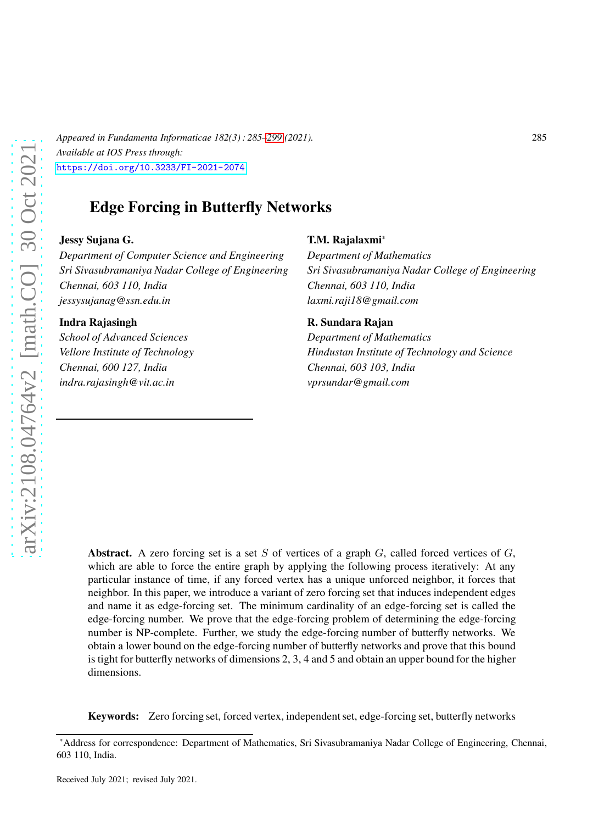*Appeared in Fundamenta Informaticae 182(3) : 285[–299](#page-13-0) (2021).* 285 *Available at IOS Press through:* <https://doi.org/10.3233/FI-2021-2074>

# Edge Forcing in Butterfly Networks

#### Jessy Sujana G.

*Department of Computer Science and Engineering Sri Sivasubramaniya Nadar College of Engineering Chennai, 603 110, India jessysujanag@ssn.edu.in*

#### Indra Rajasingh

*School of Advanced Sciences Vellore Institute of Technology Chennai, 600 127, India indra.rajasingh@vit.ac.in*

#### T.M. Rajalaxmi\*

*Department of Mathematics Sri Sivasubramaniya Nadar College of Engineering Chennai, 603 110, India laxmi.raji18@gmail.com*

#### R. Sundara Rajan

*Department of Mathematics Hindustan Institute of Technology and Science Chennai, 603 103, India vprsundar@gmail.com*

Abstract. A zero forcing set is a set S of vertices of a graph  $G$ , called forced vertices of  $G$ , which are able to force the entire graph by applying the following process iteratively: At any particular instance of time, if any forced vertex has a unique unforced neighbor, it forces that neighbor. In this paper, we introduce a variant of zero forcing set that induces independent edges and name it as edge-forcing set. The minimum cardinality of an edge-forcing set is called the edge-forcing number. We prove that the edge-forcing problem of determining the edge-forcing number is NP-complete. Further, we study the edge-forcing number of butterfly networks. We obtain a lower bound on the edge-forcing number of butterfly networks and prove that this bound is tight for butterfly networks of dimensions 2, 3, 4 and 5 and obtain an upper bound for the higher dimensions.

Keywords: Zero forcing set, forced vertex, independent set, edge-forcing set, butterfly networks

<sup>\*</sup>Address for correspondence: Department of Mathematics, Sri Sivasubramaniya Nadar College of Engineering, Chennai, 603 110, India.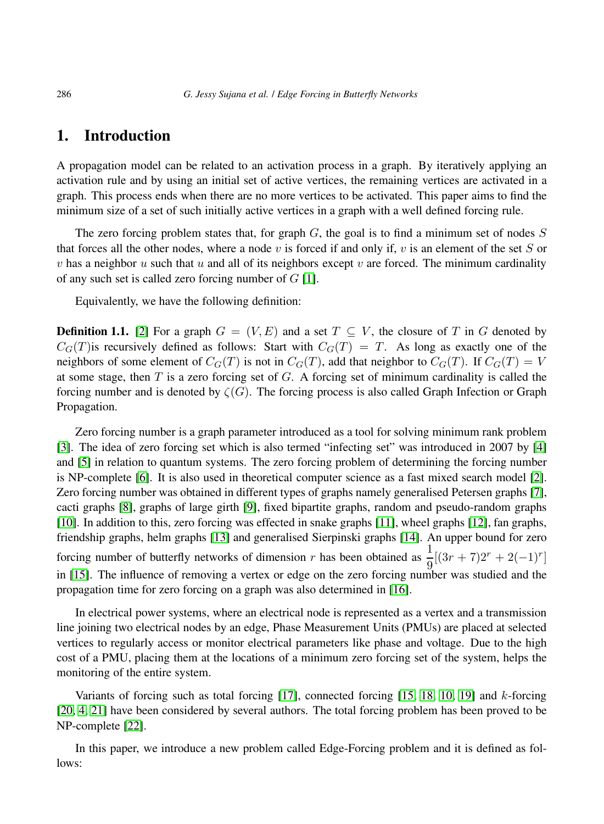# 1. Introduction

A propagation model can be related to an activation process in a graph. By iteratively applying an activation rule and by using an initial set of active vertices, the remaining vertices are activated in a graph. This process ends when there are no more vertices to be activated. This paper aims to find the minimum size of a set of such initially active vertices in a graph with a well defined forcing rule.

The zero forcing problem states that, for graph  $G$ , the goal is to find a minimum set of nodes  $S$ that forces all the other nodes, where a node v is forced if and only if, v is an element of the set S or v has a neighbor u such that u and all of its neighbors except v are forced. The minimum cardinality of any such set is called zero forcing number of  $G$  [\[1\]](#page-13-1).

Equivalently, we have the following definition:

**Definition 1.1.** [\[2\]](#page-13-2) For a graph  $G = (V, E)$  and a set  $T \subseteq V$ , the closure of T in G denoted by  $C_G(T)$  is recursively defined as follows: Start with  $C_G(T) = T$ . As long as exactly one of the neighbors of some element of  $C_G(T)$  is not in  $C_G(T)$ , add that neighbor to  $C_G(T)$ . If  $C_G(T) = V$ at some stage, then  $T$  is a zero forcing set of  $G$ . A forcing set of minimum cardinality is called the forcing number and is denoted by  $\zeta(G)$ . The forcing process is also called Graph Infection or Graph Propagation.

Zero forcing number is a graph parameter introduced as a tool for solving minimum rank problem [\[3\]](#page-13-3). The idea of zero forcing set which is also termed "infecting set" was introduced in 2007 by [\[4\]](#page-13-4) and [\[5\]](#page-13-5) in relation to quantum systems. The zero forcing problem of determining the forcing number is NP-complete [\[6\]](#page-13-6). It is also used in theoretical computer science as a fast mixed search model [\[2\]](#page-13-2). Zero forcing number was obtained in different types of graphs namely generalised Petersen graphs [\[7\]](#page-13-7), cacti graphs [\[8\]](#page-13-8), graphs of large girth [\[9\]](#page-13-9), fixed bipartite graphs, random and pseudo-random graphs [\[10\]](#page-13-10). In addition to this, zero forcing was effected in snake graphs [\[11\]](#page-13-11), wheel graphs [\[12\]](#page-13-12), fan graphs, friendship graphs, helm graphs [\[13\]](#page-13-13) and generalised Sierpinski graphs [\[14\]](#page-13-14). An upper bound for zero forcing number of butterfly networks of dimension r has been obtained as  $\frac{1}{9}[(3r + 7)2r + 2(-1)^r]$ in [\[15\]](#page-13-15). The influence of removing a vertex or edge on the zero forcing number was studied and the propagation time for zero forcing on a graph was also determined in [\[16\]](#page-13-16).

In electrical power systems, where an electrical node is represented as a vertex and a transmission line joining two electrical nodes by an edge, Phase Measurement Units (PMUs) are placed at selected vertices to regularly access or monitor electrical parameters like phase and voltage. Due to the high cost of a PMU, placing them at the locations of a minimum zero forcing set of the system, helps the monitoring of the entire system.

Variants of forcing such as total forcing  $[17]$ , connected forcing  $[15, 18, 10, 19]$  $[15, 18, 10, 19]$  $[15, 18, 10, 19]$  $[15, 18, 10, 19]$  and k-forcing [\[20,](#page-14-3) [4,](#page-13-4) [21\]](#page-14-4) have been considered by several authors. The total forcing problem has been proved to be NP-complete [\[22\]](#page-14-5).

In this paper, we introduce a new problem called Edge-Forcing problem and it is defined as follows: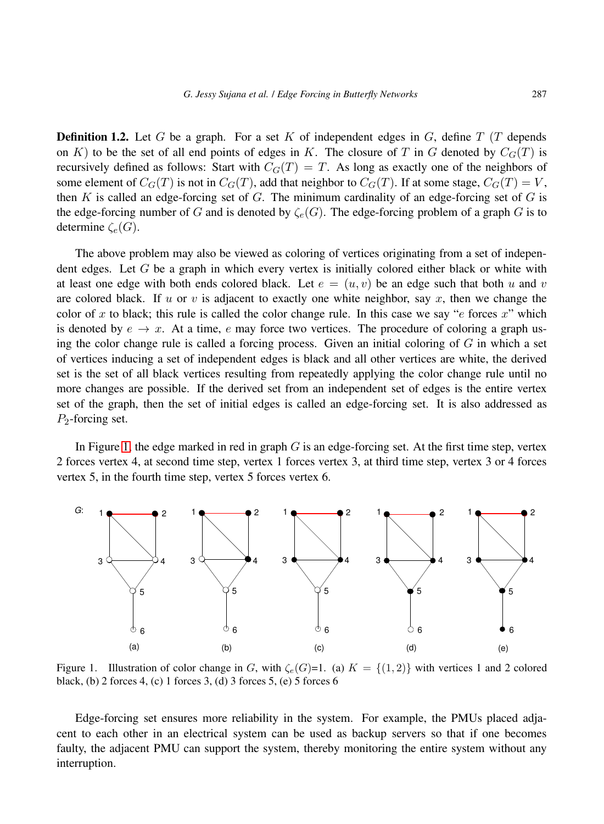**Definition 1.2.** Let G be a graph. For a set K of independent edges in G, define  $T(T)$  depends on K) to be the set of all end points of edges in K. The closure of T in G denoted by  $C<sub>G</sub>(T)$  is recursively defined as follows: Start with  $C_G(T) = T$ . As long as exactly one of the neighbors of some element of  $C_G(T)$  is not in  $C_G(T)$ , add that neighbor to  $C_G(T)$ . If at some stage,  $C_G(T) = V$ , then K is called an edge-forcing set of  $G$ . The minimum cardinality of an edge-forcing set of  $G$  is the edge-forcing number of G and is denoted by  $\zeta_e(G)$ . The edge-forcing problem of a graph G is to determine  $\zeta_e(G)$ .

The above problem may also be viewed as coloring of vertices originating from a set of independent edges. Let  $G$  be a graph in which every vertex is initially colored either black or white with at least one edge with both ends colored black. Let  $e = (u, v)$  be an edge such that both u and v are colored black. If u or v is adjacent to exactly one white neighbor, say x, then we change the color of x to black; this rule is called the color change rule. In this case we say " $e$  forces  $x$ " which is denoted by  $e \to x$ . At a time, e may force two vertices. The procedure of coloring a graph using the color change rule is called a forcing process. Given an initial coloring of  $G$  in which a set of vertices inducing a set of independent edges is black and all other vertices are white, the derived set is the set of all black vertices resulting from repeatedly applying the color change rule until no more changes are possible. If the derived set from an independent set of edges is the entire vertex set of the graph, then the set of initial edges is called an edge-forcing set. It is also addressed as  $P_2$ -forcing set.

In Figure [1,](#page-2-0) the edge marked in red in graph  $G$  is an edge-forcing set. At the first time step, vertex 2 forces vertex 4, at second time step, vertex 1 forces vertex 3, at third time step, vertex 3 or 4 forces vertex 5, in the fourth time step, vertex 5 forces vertex 6.



<span id="page-2-0"></span>Figure 1. Illustration of color change in G, with  $\zeta_e(G)=1$ . (a)  $K = \{(1,2)\}\$  with vertices 1 and 2 colored black, (b) 2 forces 4, (c) 1 forces 3, (d) 3 forces 5, (e) 5 forces 6

Edge-forcing set ensures more reliability in the system. For example, the PMUs placed adjacent to each other in an electrical system can be used as backup servers so that if one becomes faulty, the adjacent PMU can support the system, thereby monitoring the entire system without any interruption.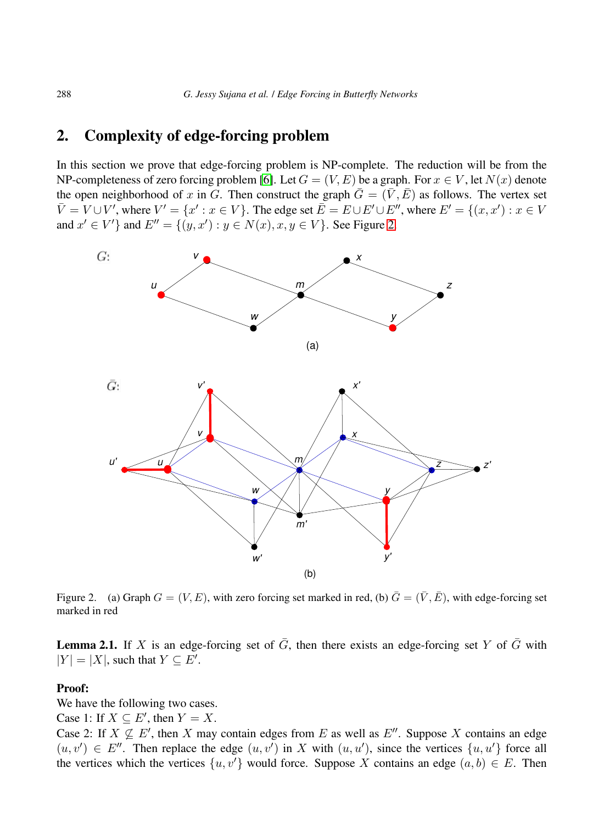# 2. Complexity of edge-forcing problem

In this section we prove that edge-forcing problem is NP-complete. The reduction will be from the NP-completeness of zero forcing problem [\[6\]](#page-13-6). Let  $G = (V, E)$  be a graph. For  $x \in V$ , let  $N(x)$  denote the open neighborhood of x in G. Then construct the graph  $\overline{G} = (\overline{V}, \overline{E})$  as follows. The vertex set  $\overline{V} = V \cup V'$ , where  $V' = \{x' : x \in V\}$ . The edge set  $\overline{E} = E \cup E' \cup E''$ , where  $E' = \{(x, x') : x \in V\}$ and  $x' \in V'$ } and  $E'' = \{(y, x') : y \in N(x), x, y \in V\}$ . See Figure [2.](#page-3-0)



<span id="page-3-0"></span>Figure 2. (a) Graph  $G = (V, E)$ , with zero forcing set marked in red, (b)  $\bar{G} = (\bar{V}, \bar{E})$ , with edge-forcing set marked in red

**Lemma 2.1.** If X is an edge-forcing set of  $\overline{G}$ , then there exists an edge-forcing set Y of  $\overline{G}$  with  $|Y| = |X|$ , such that  $Y \subseteq E'$ .

### Proof:

We have the following two cases.

Case 1: If  $X \subseteq E'$ , then  $Y = X$ .

Case 2: If  $X \nsubseteq E'$ , then X may contain edges from E as well as  $E''$ . Suppose X contains an edge  $(u, v') \in E''$ . Then replace the edge  $(u, v')$  in X with  $(u, u')$ , since the vertices  $\{u, u'\}$  force all the vertices which the vertices  $\{u, v'\}$  would force. Suppose X contains an edge  $(a, b) \in E$ . Then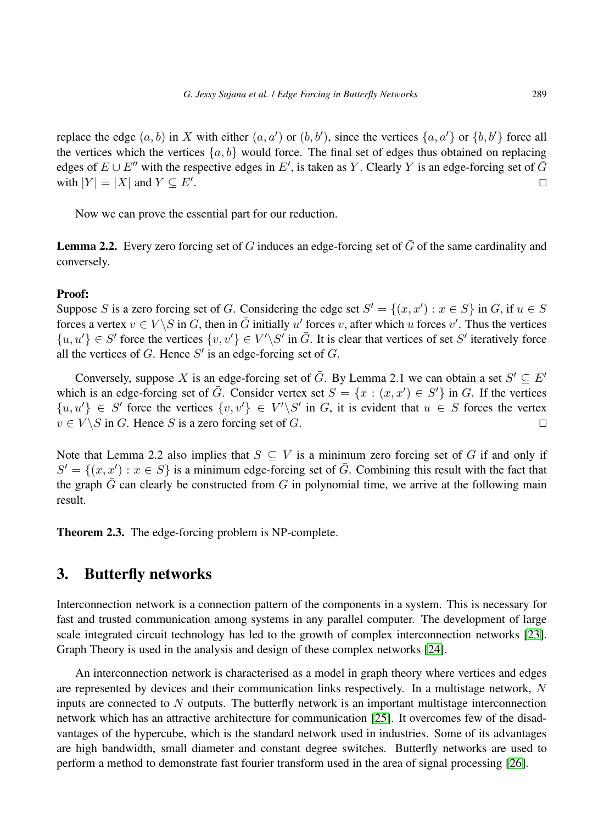replace the edge  $(a, b)$  in X with either  $(a, a')$  or  $(b, b')$ , since the vertices  $\{a, a'\}$  or  $\{b, b'\}$  force all the vertices which the vertices  $\{a, b\}$  would force. The final set of edges thus obtained on replacing edges of  $E \cup E''$  with the respective edges in  $E'$ , is taken as Y. Clearly Y is an edge-forcing set of  $\bar{G}$ with  $|Y| = |X|$  and  $Y \subseteq E'$ . . ⊓⊔

Now we can prove the essential part for our reduction.

**Lemma 2.2.** Every zero forcing set of G induces an edge-forcing set of  $\bar{G}$  of the same cardinality and conversely.

#### Proof:

Suppose S is a zero forcing set of G. Considering the edge set  $S' = \{(x, x') : x \in S\}$  in  $\overline{G}$ , if  $u \in S$ forces a vertex  $v \in V \setminus S$  in G, then in  $\overline{G}$  initially u' forces v, after which u forces v'. Thus the vertices  $\{u, u'\} \in S'$  force the vertices  $\{v, v'\} \in V' \backslash S'$  in  $\overline{G}$ . It is clear that vertices of set S' iteratively force all the vertices of  $\bar{G}$ . Hence S' is an edge-forcing set of  $\bar{G}$ .

Conversely, suppose X is an edge-forcing set of  $\bar{G}$ . By Lemma 2.1 we can obtain a set  $S' \subseteq E'$ which is an edge-forcing set of  $\overline{G}$ . Consider vertex set  $S = \{x : (x, x') \in S'\}$  in G. If the vertices  $\{u, u'\} \in S'$  force the vertices  $\{v, v'\} \in V' \backslash S'$  in G, it is evident that  $u \in S$  forces the vertex  $v \in V \setminus S$  in G. Hence S is a zero forcing set of G. □

Note that Lemma 2.2 also implies that  $S \subseteq V$  is a minimum zero forcing set of G if and only if  $S' = \{(x, x') : x \in S\}$  is a minimum edge-forcing set of  $\overline{G}$ . Combining this result with the fact that the graph  $\bar{G}$  can clearly be constructed from G in polynomial time, we arrive at the following main result.

Theorem 2.3. The edge-forcing problem is NP-complete.

## 3. Butterfly networks

Interconnection network is a connection pattern of the components in a system. This is necessary for fast and trusted communication among systems in any parallel computer. The development of large scale integrated circuit technology has led to the growth of complex interconnection networks [\[23\]](#page-14-6). Graph Theory is used in the analysis and design of these complex networks [\[24\]](#page-14-7).

An interconnection network is characterised as a model in graph theory where vertices and edges are represented by devices and their communication links respectively. In a multistage network,  $N$ inputs are connected to  $N$  outputs. The butterfly network is an important multistage interconnection network which has an attractive architecture for communication [\[25\]](#page-14-8). It overcomes few of the disadvantages of the hypercube, which is the standard network used in industries. Some of its advantages are high bandwidth, small diameter and constant degree switches. Butterfly networks are used to perform a method to demonstrate fast fourier transform used in the area of signal processing [\[26\]](#page-14-9).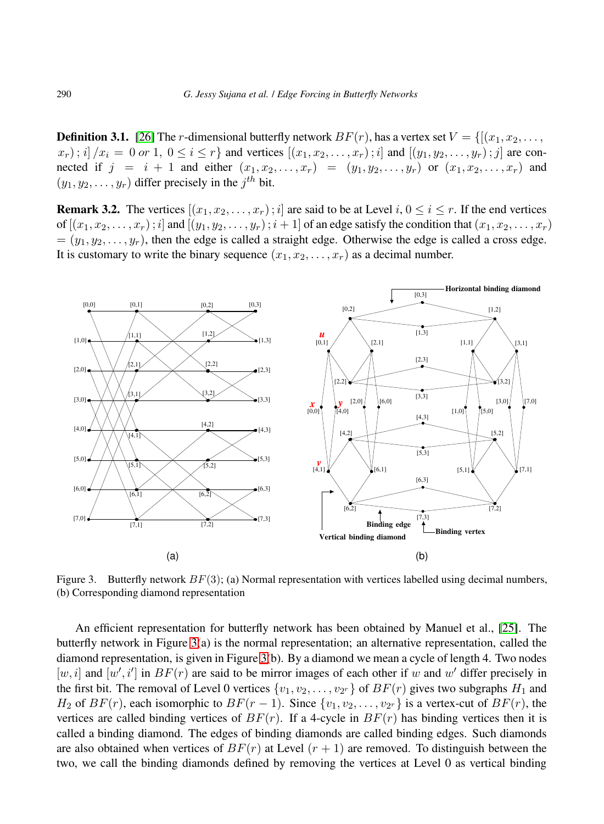**Definition 3.1.** [\[26\]](#page-14-9) The *r*-dimensional butterfly network  $BF(r)$ , has a vertex set  $V = \{[(x_1, x_2, \ldots,$  $(x_r)$ ; i]  $(x_i = 0 \text{ or } 1, 0 \le i \le r$  and vertices  $[(x_1, x_2, \ldots, x_r); i]$  and  $[(y_1, y_2, \ldots, y_r); j]$  are connected if  $j = i + 1$  and either  $(x_1, x_2, \ldots, x_r) = (y_1, y_2, \ldots, y_r)$  or  $(x_1, x_2, \ldots, x_r)$  and  $(y_1, y_2, \ldots, y_r)$  differ precisely in the  $j^{th}$  bit.

**Remark 3.2.** The vertices  $[(x_1, x_2, \dots, x_r); i]$  are said to be at Level  $i, 0 \le i \le r$ . If the end vertices of  $[(x_1, x_2, \ldots, x_r); i]$  and  $[(y_1, y_2, \ldots, y_r); i+1]$  of an edge satisfy the condition that  $(x_1, x_2, \ldots, x_r)$  $=(y_1, y_2, \ldots, y_r)$ , then the edge is called a straight edge. Otherwise the edge is called a cross edge. It is customary to write the binary sequence  $(x_1, x_2, \ldots, x_r)$  as a decimal number.



<span id="page-5-0"></span>Figure 3. Butterfly network  $BF(3)$ ; (a) Normal representation with vertices labelled using decimal numbers, (b) Corresponding diamond representation

An efficient representation for butterfly network has been obtained by Manuel et al., [\[25\]](#page-14-8). The butterfly network in Figure [3\(](#page-5-0)a) is the normal representation; an alternative representation, called the diamond representation, is given in Figure [3\(](#page-5-0)b). By a diamond we mean a cycle of length 4. Two nodes [w, i] and  $[w', i']$  in  $BF(r)$  are said to be mirror images of each other if w and w' differ precisely in the first bit. The removal of Level 0 vertices  $\{v_1, v_2, \ldots, v_{2^r}\}$  of  $BF(r)$  gives two subgraphs  $H_1$  and  $H_2$  of  $BF(r)$ , each isomorphic to  $BF(r-1)$ . Since  $\{v_1, v_2, \ldots, v_{2r}\}$  is a vertex-cut of  $BF(r)$ , the vertices are called binding vertices of  $BF(r)$ . If a 4-cycle in  $BF(r)$  has binding vertices then it is called a binding diamond. The edges of binding diamonds are called binding edges. Such diamonds are also obtained when vertices of  $BF(r)$  at Level  $(r + 1)$  are removed. To distinguish between the two, we call the binding diamonds defined by removing the vertices at Level 0 as vertical binding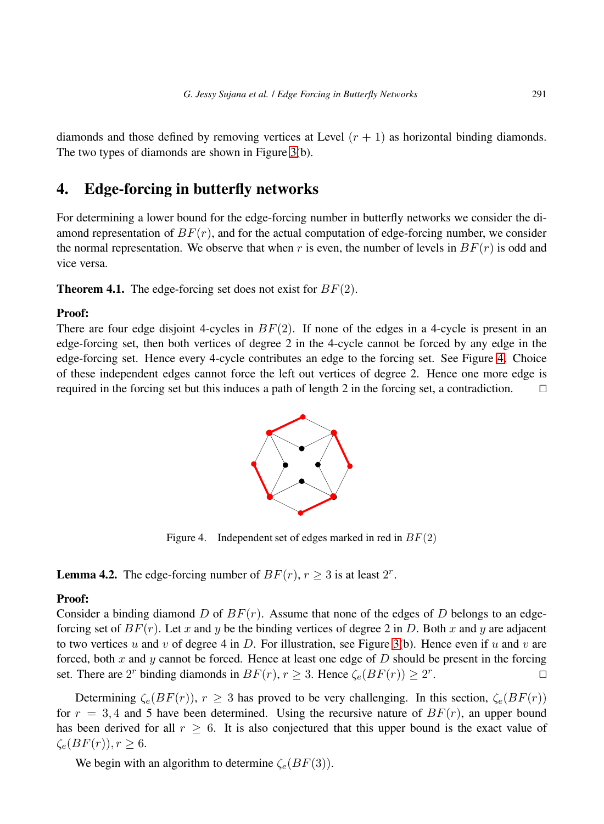diamonds and those defined by removing vertices at Level  $(r + 1)$  as horizontal binding diamonds. The two types of diamonds are shown in Figure [3\(](#page-5-0)b).

# 4. Edge-forcing in butterfly networks

For determining a lower bound for the edge-forcing number in butterfly networks we consider the diamond representation of  $BF(r)$ , and for the actual computation of edge-forcing number, we consider the normal representation. We observe that when r is even, the number of levels in  $BF(r)$  is odd and vice versa.

**Theorem 4.1.** The edge-forcing set does not exist for  $BF(2)$ .

#### Proof:

There are four edge disjoint 4-cycles in  $BF(2)$ . If none of the edges in a 4-cycle is present in an edge-forcing set, then both vertices of degree 2 in the 4-cycle cannot be forced by any edge in the edge-forcing set. Hence every 4-cycle contributes an edge to the forcing set. See Figure [4.](#page-6-0) Choice of these independent edges cannot force the left out vertices of degree 2. Hence one more edge is required in the forcing set but this induces a path of length 2 in the forcing set, a contradiction. ⊓⊔



<span id="page-6-0"></span>Figure 4. Independent set of edges marked in red in  $BF(2)$ 

**Lemma 4.2.** The edge-forcing number of  $BF(r)$ ,  $r \ge 3$  is at least  $2^r$ .

#### Proof:

Consider a binding diamond D of  $BF(r)$ . Assume that none of the edges of D belongs to an edgeforcing set of  $BF(r)$ . Let x and y be the binding vertices of degree 2 in D. Both x and y are adjacent to two vertices u and v of degree 4 in D. For illustration, see Figure [3\(](#page-5-0)b). Hence even if u and v are forced, both x and y cannot be forced. Hence at least one edge of  $D$  should be present in the forcing set. There are 2<sup>r</sup> binding diamonds in  $BF(r)$ ,  $r \geq 3$ . Hence  $\zeta_e(BF(r)) \geq 2^r$ . ⊓⊔

Determining  $\zeta_e(BF(r))$ ,  $r \geq 3$  has proved to be very challenging. In this section,  $\zeta_e(BF(r))$ for  $r = 3, 4$  and 5 have been determined. Using the recursive nature of  $BF(r)$ , an upper bound has been derived for all  $r \geq 6$ . It is also conjectured that this upper bound is the exact value of  $\zeta_e(BF(r)), r \geq 6.$ 

We begin with an algorithm to determine  $\zeta_e(BF(3))$ .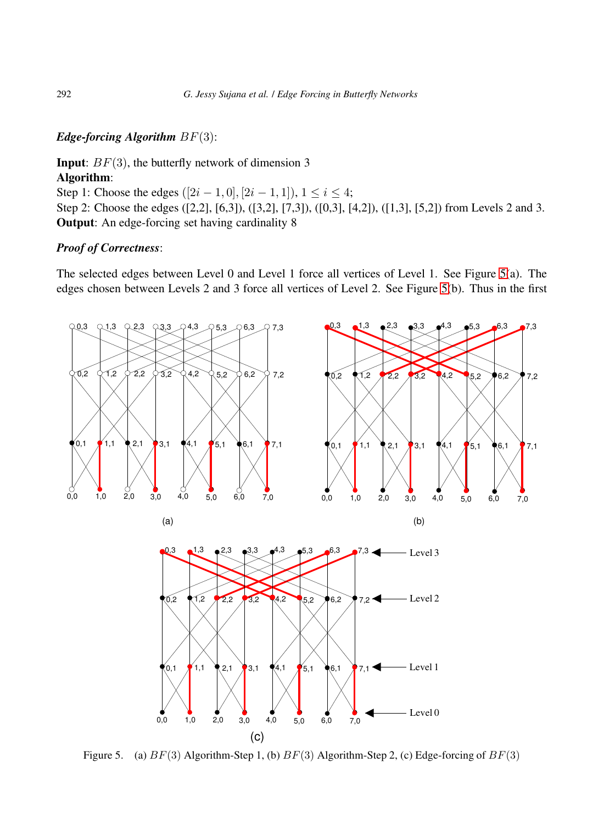### *Edge-forcing Algorithm* BF(3):

## **Input:**  $BF(3)$ , the butterfly network of dimension 3 Algorithm:

Step 1: Choose the edges  $([2i - 1, 0], [2i - 1, 1]), 1 \le i \le 4;$ Step 2: Choose the edges ([2,2], [6,3]), ([3,2], [7,3]), ([0,3], [4,2]), ([1,3], [5,2]) from Levels 2 and 3. Output: An edge-forcing set having cardinality 8

#### *Proof of Correctness*:

The selected edges between Level 0 and Level 1 force all vertices of Level 1. See Figure [5\(](#page-7-0)a). The edges chosen between Levels 2 and 3 force all vertices of Level 2. See Figure [5\(](#page-7-0)b). Thus in the first



<span id="page-7-0"></span>Figure 5. (a)  $BF(3)$  Algorithm-Step 1, (b)  $BF(3)$  Algorithm-Step 2, (c) Edge-forcing of  $BF(3)$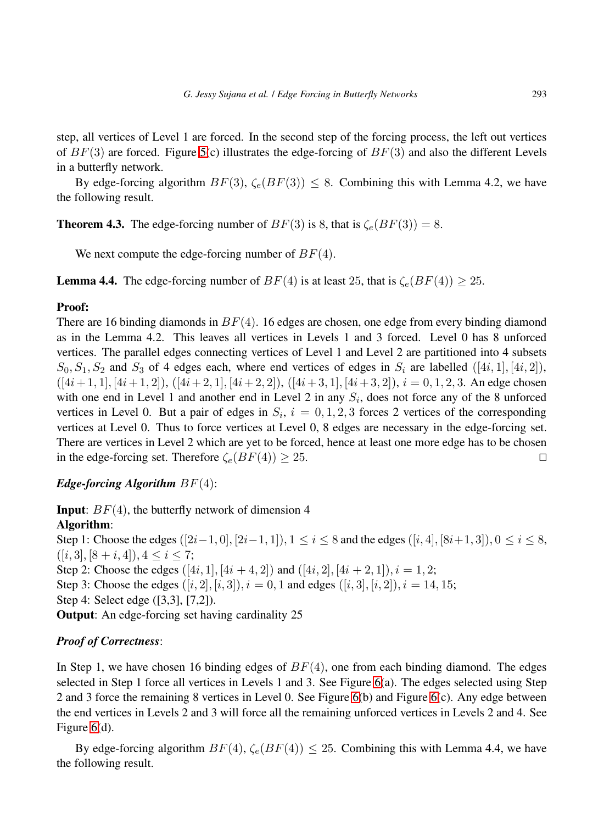step, all vertices of Level 1 are forced. In the second step of the forcing process, the left out vertices of  $BF(3)$  are forced. Figure [5\(](#page-7-0)c) illustrates the edge-forcing of  $BF(3)$  and also the different Levels in a butterfly network.

By edge-forcing algorithm  $BF(3)$ ,  $\zeta_e(BF(3)) \leq 8$ . Combining this with Lemma 4.2, we have the following result.

**Theorem 4.3.** The edge-forcing number of  $BF(3)$  is 8, that is  $\zeta_e(BF(3)) = 8$ .

We next compute the edge-forcing number of  $BF(4)$ .

**Lemma 4.4.** The edge-forcing number of  $BF(4)$  is at least 25, that is  $\zeta_e(BF(4)) \geq 25$ .

### Proof:

There are 16 binding diamonds in  $BF(4)$ . 16 edges are chosen, one edge from every binding diamond as in the Lemma 4.2. This leaves all vertices in Levels 1 and 3 forced. Level 0 has 8 unforced vertices. The parallel edges connecting vertices of Level 1 and Level 2 are partitioned into 4 subsets  $S_0, S_1, S_2$  and  $S_3$  of 4 edges each, where end vertices of edges in  $S_i$  are labelled  $([4i, 1], [4i, 2])$ ,  $([4i+1, 1], [4i+1, 2]), ([4i+2, 1], [4i+2, 2]), ([4i+3, 1], [4i+3, 2]), i = 0, 1, 2, 3.$  An edge chosen with one end in Level 1 and another end in Level 2 in any  $S_i$ , does not force any of the 8 unforced vertices in Level 0. But a pair of edges in  $S_i$ ,  $i = 0, 1, 2, 3$  forces 2 vertices of the corresponding vertices at Level 0. Thus to force vertices at Level 0, 8 edges are necessary in the edge-forcing set. There are vertices in Level 2 which are yet to be forced, hence at least one more edge has to be chosen in the edge-forcing set. Therefore  $\zeta_e(BF(4)) \geq 25$ . □

### *Edge-forcing Algorithm* BF(4):

**Input:**  $BF(4)$ , the butterfly network of dimension 4 Algorithm:

Step 1: Choose the edges  $([2i-1, 0], [2i-1, 1]), 1 \le i \le 8$  and the edges  $([i, 4], [8i+1, 3]), 0 \le i \le 8$ ,  $([i, 3], [8 + i, 4]), 4 \leq i \leq 7;$ Step 2: Choose the edges  $([4i, 1], [4i + 4, 2])$  and  $([4i, 2], [4i + 2, 1]), i = 1, 2;$ Step 3: Choose the edges  $([i, 2], [i, 3])$ ,  $i = 0, 1$  and edges  $([i, 3], [i, 2])$ ,  $i = 14, 15$ ; Step 4: Select edge ([3,3], [7,2]). Output: An edge-forcing set having cardinality 25

### *Proof of Correctness*:

In Step 1, we have chosen 16 binding edges of  $BF(4)$ , one from each binding diamond. The edges selected in Step 1 force all vertices in Levels 1 and 3. See Figure [6\(](#page-9-0)a). The edges selected using Step 2 and 3 force the remaining 8 vertices in Level 0. See Figure [6\(](#page-9-0)b) and Figure [6\(](#page-9-0)c). Any edge between the end vertices in Levels 2 and 3 will force all the remaining unforced vertices in Levels 2 and 4. See Figure [6\(](#page-9-0)d).

By edge-forcing algorithm  $BF(4)$ ,  $\zeta_e(BF(4)) \leq 25$ . Combining this with Lemma 4.4, we have the following result.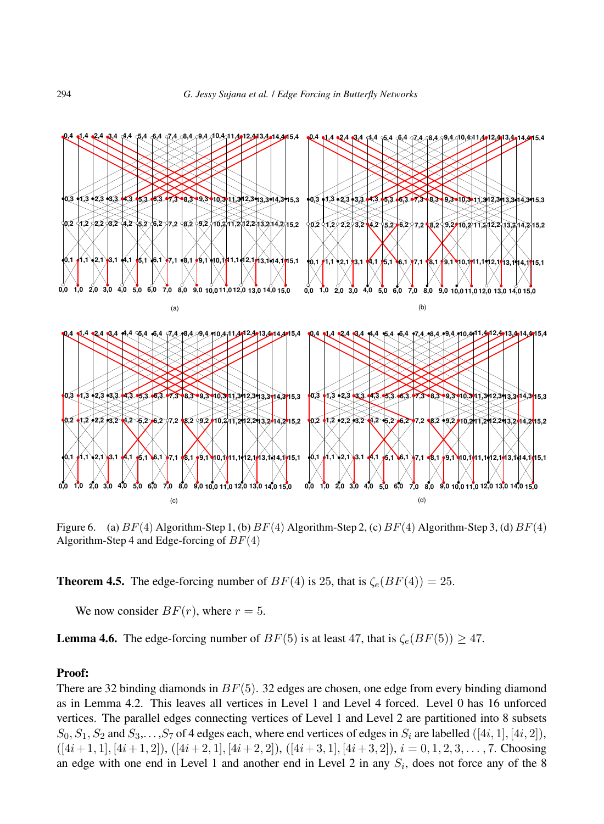![](_page_9_Figure_1.jpeg)

<span id="page-9-0"></span>Figure 6. (a)  $BF(4)$  Algorithm-Step 1, (b)  $BF(4)$  Algorithm-Step 2, (c)  $BF(4)$  Algorithm-Step 3, (d)  $BF(4)$ Algorithm-Step 4 and Edge-forcing of  $BF(4)$ 

**Theorem 4.5.** The edge-forcing number of  $BF(4)$  is 25, that is  $\zeta_e(BF(4)) = 25$ .

We now consider  $BF(r)$ , where  $r = 5$ .

**Lemma 4.6.** The edge-forcing number of  $BF(5)$  is at least 47, that is  $\zeta_e(BF(5)) \geq 47$ .

#### Proof:

There are 32 binding diamonds in  $BF(5)$ . 32 edges are chosen, one edge from every binding diamond as in Lemma 4.2. This leaves all vertices in Level 1 and Level 4 forced. Level 0 has 16 unforced vertices. The parallel edges connecting vertices of Level 1 and Level 2 are partitioned into 8 subsets  $S_0, S_1, S_2$  and  $S_3, \ldots, S_7$  of 4 edges each, where end vertices of edges in  $S_i$  are labelled ([4*i*, 1], [4*i*, 2]),  $([4i+1, 1], [4i+1, 2]), ([4i+2, 1], [4i+2, 2]), ([4i+3, 1], [4i+3, 2]), i = 0, 1, 2, 3, \ldots, 7.$  Choosing an edge with one end in Level 1 and another end in Level 2 in any  $S_i$ , does not force any of the 8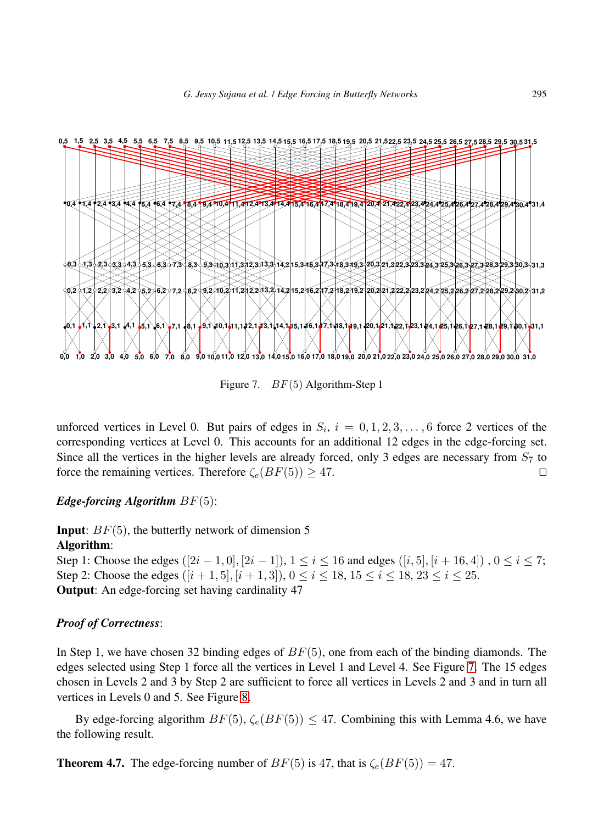![](_page_10_Figure_1.jpeg)

<span id="page-10-0"></span>Figure 7. BF(5) Algorithm-Step 1

unforced vertices in Level 0. But pairs of edges in  $S_i$ ,  $i = 0, 1, 2, 3, \ldots, 6$  force 2 vertices of the corresponding vertices at Level 0. This accounts for an additional 12 edges in the edge-forcing set. Since all the vertices in the higher levels are already forced, only 3 edges are necessary from  $S_7$  to force the remaining vertices. Therefore  $\zeta_e(BF(5)) \geq 47$ . □

#### *Edge-forcing Algorithm* BF(5):

**Input:**  $BF(5)$ , the butterfly network of dimension 5

### Algorithm:

Step 1: Choose the edges  $([2i - 1, 0], [2i - 1])$ ,  $1 \le i \le 16$  and edges  $([i, 5], [i + 16, 4])$ ,  $0 \le i \le 7$ ; Step 2: Choose the edges  $([i + 1, 5], [i + 1, 3])$ ,  $0 \le i \le 18$ ,  $15 \le i \le 18$ ,  $23 \le i \le 25$ . Output: An edge-forcing set having cardinality 47

#### *Proof of Correctness*:

In Step 1, we have chosen 32 binding edges of  $BF(5)$ , one from each of the binding diamonds. The edges selected using Step 1 force all the vertices in Level 1 and Level 4. See Figure [7.](#page-10-0) The 15 edges chosen in Levels 2 and 3 by Step 2 are sufficient to force all vertices in Levels 2 and 3 and in turn all vertices in Levels 0 and 5. See Figure [8.](#page-11-0)

By edge-forcing algorithm  $BF(5)$ ,  $\zeta_e(BF(5)) \leq 47$ . Combining this with Lemma 4.6, we have the following result.

#### **Theorem 4.7.** The edge-forcing number of  $BF(5)$  is 47, that is  $\zeta_e(BF(5)) = 47$ .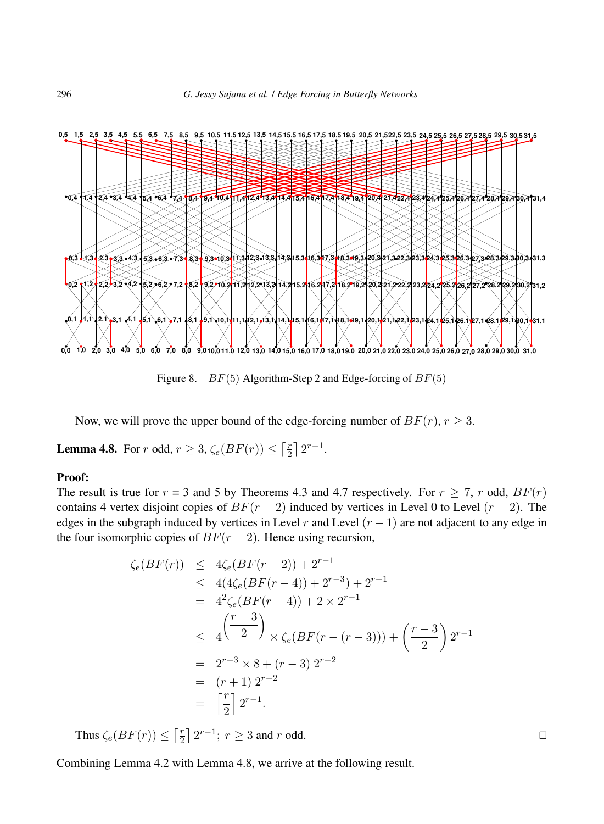![](_page_11_Figure_1.jpeg)

<span id="page-11-0"></span>Figure 8.  $BF(5)$  Algorithm-Step 2 and Edge-forcing of  $BF(5)$ 

Now, we will prove the upper bound of the edge-forcing number of  $BF(r)$ ,  $r \geq 3$ .

**Lemma 4.8.** For r odd,  $r \geq 3$ ,  $\zeta_e(BF(r)) \leq \lceil \frac{r}{2} \rceil$  $\frac{r}{2}$  |  $2^{r-1}$ .

#### Proof:

The result is true for  $r = 3$  and 5 by Theorems 4.3 and 4.7 respectively. For  $r \ge 7$ , r odd,  $BF(r)$ contains 4 vertex disjoint copies of  $BF(r-2)$  induced by vertices in Level 0 to Level  $(r-2)$ . The edges in the subgraph induced by vertices in Level r and Level  $(r - 1)$  are not adjacent to any edge in the four isomorphic copies of  $BF(r-2)$ . Hence using recursion,

$$
\begin{array}{rcl}\n\zeta_e(BF(r)) & \leq & 4\zeta_e(BF(r-2)) + 2^{r-1} \\
& \leq & 4(4\zeta_e(BF(r-4)) + 2^{r-3}) + 2^{r-1} \\
& = & 4^2\zeta_e(BF(r-4)) + 2 \times 2^{r-1} \\
& \leq & 4\left(\frac{r-3}{2}\right) \times \zeta_e(BF(r-(r-3))) + \left(\frac{r-3}{2}\right)2^{r-1} \\
& = & 2^{r-3} \times 8 + (r-3) \cdot 2^{r-2} \\
& = & (r+1) \cdot 2^{r-2} \\
& = & \left\lceil \frac{r}{2} \right\rceil 2^{r-1}.\n\end{array}
$$

Thus  $\zeta_e(BF(r)) \leq \left\lceil \frac{r}{2} \right\rceil$  $\lfloor \frac{r}{2} \rfloor 2^{r-1}; r \geq 3$  and r odd. □

Combining Lemma 4.2 with Lemma 4.8, we arrive at the following result.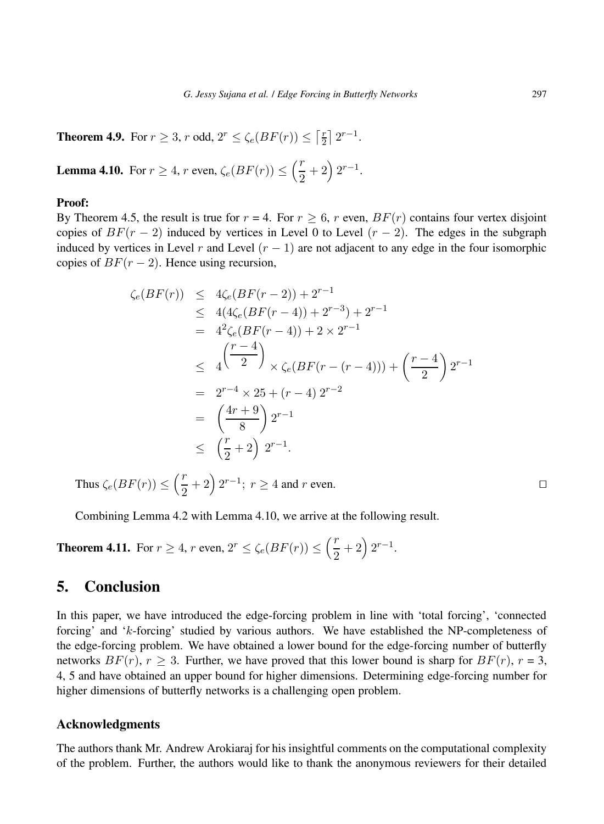**Theorem 4.9.** For  $r \geq 3$ , r odd,  $2^r \leq \zeta_e(BF(r)) \leq \lceil \frac{r}{2} \rceil$  $\frac{r}{2}$  |  $2^{r-1}$ .

**Lemma 4.10.** For  $r \geq 4$ , r even,  $\zeta_e(BF(r)) \leq \left(\frac{r}{2}\right)^{1/2}$  $\frac{r}{2}+2\Big(2^{r-1}.$ 

#### Proof:

By Theorem 4.5, the result is true for  $r = 4$ . For  $r \ge 6$ , r even,  $BF(r)$  contains four vertex disjoint copies of  $BF(r-2)$  induced by vertices in Level 0 to Level  $(r-2)$ . The edges in the subgraph induced by vertices in Level r and Level  $(r - 1)$  are not adjacent to any edge in the four isomorphic copies of  $BF(r-2)$ . Hence using recursion,

$$
\zeta_e(BF(r)) \leq 4\zeta_e(BF(r-2)) + 2^{r-1}
$$
  
\n
$$
\leq 4(4\zeta_e(BF(r-4)) + 2^{r-3}) + 2^{r-1}
$$
  
\n
$$
= 4^2\zeta_e(BF(r-4)) + 2 \times 2^{r-1}
$$
  
\n
$$
\leq 4\left(\frac{r-4}{2}\right) \times \zeta_e(BF(r-(r-4))) + \left(\frac{r-4}{2}\right)2^{r-1}
$$
  
\n
$$
= 2^{r-4} \times 25 + (r-4)2^{r-2}
$$
  
\n
$$
= \left(\frac{4r+9}{8}\right)2^{r-1}
$$
  
\n
$$
\leq \left(\frac{r}{2}+2\right)2^{r-1}.
$$

Thus  $\zeta_e(BF(r)) \leq \left(\frac{r}{2}\right)$  $(\frac{r}{2} + 2)^{2r-1}$ ;  $r \ge 4$  and r even.

Combining Lemma 4.2 with Lemma 4.10, we arrive at the following result.

**Theorem 4.11.** For  $r \geq 4$ , r even,  $2^r \leq \zeta_e(BF(r)) \leq \left(\frac{r}{2}\right)^r$  $\frac{r}{2}+2\Big(2^{r-1}.$ 

# 5. Conclusion

In this paper, we have introduced the edge-forcing problem in line with 'total forcing', 'connected forcing' and 'k-forcing' studied by various authors. We have established the NP-completeness of the edge-forcing problem. We have obtained a lower bound for the edge-forcing number of butterfly networks  $BF(r)$ ,  $r \geq 3$ . Further, we have proved that this lower bound is sharp for  $BF(r)$ ,  $r = 3$ , 4, 5 and have obtained an upper bound for higher dimensions. Determining edge-forcing number for higher dimensions of butterfly networks is a challenging open problem.

#### Acknowledgments

The authors thank Mr. Andrew Arokiaraj for his insightful comments on the computational complexity of the problem. Further, the authors would like to thank the anonymous reviewers for their detailed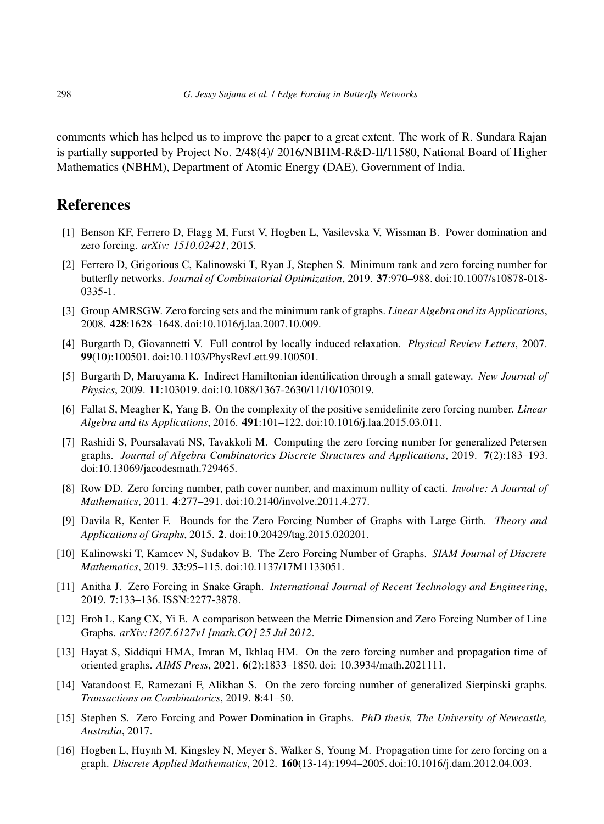comments which has helped us to improve the paper to a great extent. The work of R. Sundara Rajan is partially supported by Project No. 2/48(4)/ 2016/NBHM-R&D-II/11580, National Board of Higher Mathematics (NBHM), Department of Atomic Energy (DAE), Government of India.

# <span id="page-13-1"></span><span id="page-13-0"></span>**References**

- <span id="page-13-2"></span>[1] Benson KF, Ferrero D, Flagg M, Furst V, Hogben L, Vasilevska V, Wissman B. Power domination and zero forcing. *arXiv: 1510.02421*, 2015.
- [2] Ferrero D, Grigorious C, Kalinowski T, Ryan J, Stephen S. Minimum rank and zero forcing number for butterfly networks. *Journal of Combinatorial Optimization*, 2019. 37:970–988. doi:10.1007/s10878-018- 0335-1.
- <span id="page-13-3"></span>[3] Group AMRSGW. Zero forcing sets and the minimum rank of graphs. *Linear Algebra and its Applications*, 2008. 428:1628–1648. doi:10.1016/j.laa.2007.10.009.
- <span id="page-13-4"></span>[4] Burgarth D, Giovannetti V. Full control by locally induced relaxation. *Physical Review Letters*, 2007. 99(10):100501. doi:10.1103/PhysRevLett.99.100501.
- <span id="page-13-5"></span>[5] Burgarth D, Maruyama K. Indirect Hamiltonian identification through a small gateway. *New Journal of Physics*, 2009. 11:103019. doi:10.1088/1367-2630/11/10/103019.
- <span id="page-13-6"></span>[6] Fallat S, Meagher K, Yang B. On the complexity of the positive semidefinite zero forcing number. *Linear Algebra and its Applications*, 2016. 491:101–122. doi:10.1016/j.laa.2015.03.011.
- <span id="page-13-7"></span>[7] Rashidi S, Poursalavati NS, Tavakkoli M. Computing the zero forcing number for generalized Petersen graphs. *Journal of Algebra Combinatorics Discrete Structures and Applications*, 2019. 7(2):183–193. doi:10.13069/jacodesmath.729465.
- <span id="page-13-9"></span><span id="page-13-8"></span>[8] Row DD. Zero forcing number, path cover number, and maximum nullity of cacti. *Involve: A Journal of Mathematics*, 2011. 4:277–291. doi:10.2140/involve.2011.4.277.
- [9] Davila R, Kenter F. Bounds for the Zero Forcing Number of Graphs with Large Girth. *Theory and Applications of Graphs*, 2015. 2. doi:10.20429/tag.2015.020201.
- <span id="page-13-10"></span>[10] Kalinowski T, Kamcev N, Sudakov B. The Zero Forcing Number of Graphs. *SIAM Journal of Discrete Mathematics*, 2019. 33:95–115. doi:10.1137/17M1133051.
- <span id="page-13-12"></span><span id="page-13-11"></span>[11] Anitha J. Zero Forcing in Snake Graph. *International Journal of Recent Technology and Engineering*, 2019. 7:133–136. ISSN:2277-3878.
- [12] Eroh L, Kang CX, Yi E. A comparison between the Metric Dimension and Zero Forcing Number of Line Graphs. *arXiv:1207.6127v1 [math.CO] 25 Jul 2012*.
- <span id="page-13-13"></span>[13] Hayat S, Siddiqui HMA, Imran M, Ikhlaq HM. On the zero forcing number and propagation time of oriented graphs. *AIMS Press*, 2021. 6(2):1833–1850. doi: 10.3934/math.2021111.
- <span id="page-13-14"></span>[14] Vatandoost E, Ramezani F, Alikhan S. On the zero forcing number of generalized Sierpinski graphs. *Transactions on Combinatorics*, 2019. 8:41–50.
- <span id="page-13-15"></span>[15] Stephen S. Zero Forcing and Power Domination in Graphs. *PhD thesis, The University of Newcastle, Australia*, 2017.
- <span id="page-13-16"></span>[16] Hogben L, Huynh M, Kingsley N, Meyer S, Walker S, Young M. Propagation time for zero forcing on a graph. *Discrete Applied Mathematics*, 2012. 160(13-14):1994–2005. doi:10.1016/j.dam.2012.04.003.